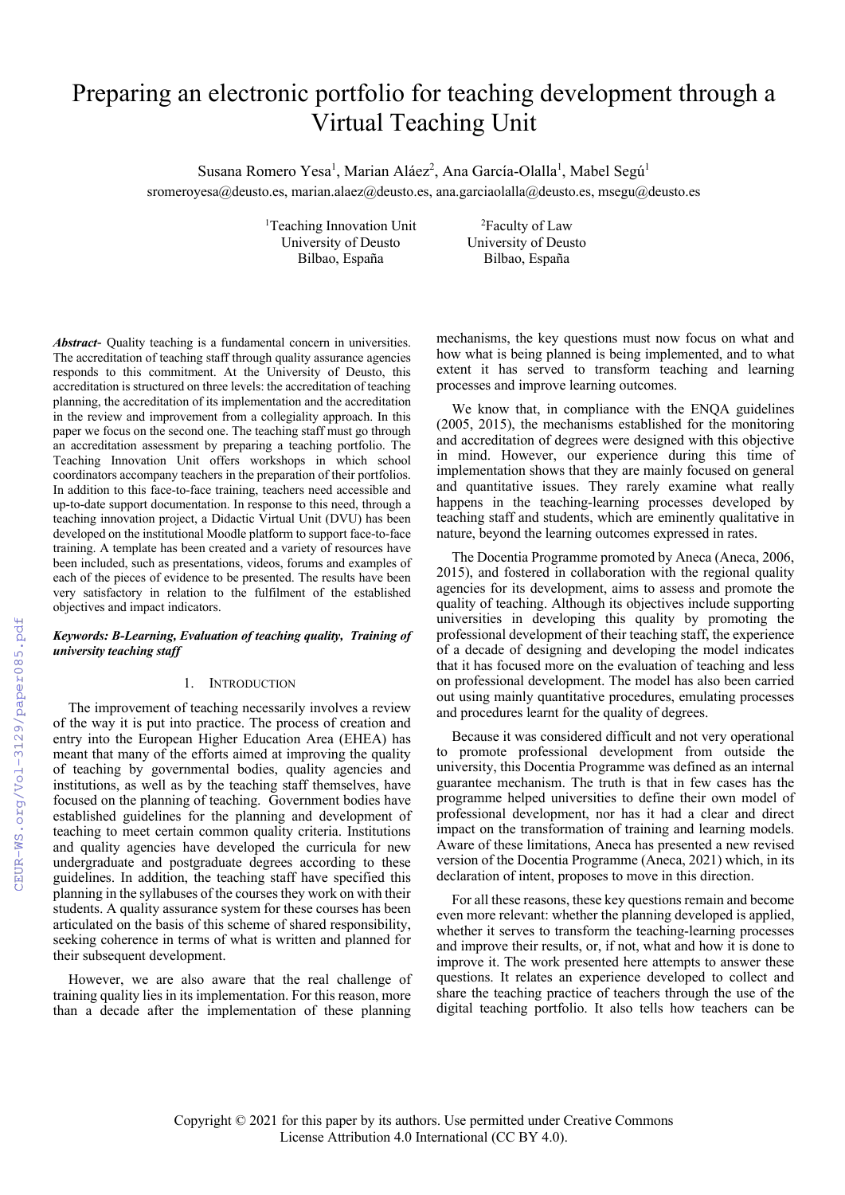# Preparing an electronic portfolio for teaching development through a Virtual Teaching Unit

Susana Romero Yesa<sup>1</sup>, Marian Aláez<sup>2</sup>, Ana García-Olalla<sup>1</sup>, Mabel Segú<sup>1</sup> sromeroyesa@deusto.es, marian.alaez@deusto.es, ana.garciaolalla@deusto.es, msegu@deusto.es

> <sup>1</sup>Teaching Innovation Unit<sup>2</sup> University of Deusto University of Deusto Bilbao, España Bilbao, España

Faculty of Law

*Abstract*- Quality teaching is a fundamental concern in universities. The accreditation of teaching staff through quality assurance agencies responds to this commitment. At the University of Deusto, this accreditation is structured on three levels: the accreditation of teaching planning, the accreditation of its implementation and the accreditation in the review and improvement from a collegiality approach. In this paper we focus on the second one. The teaching staff must go through an accreditation assessment by preparing a teaching portfolio. The Teaching Innovation Unit offers workshops in which school coordinators accompany teachers in the preparation of their portfolios. In addition to this face-to-face training, teachers need accessible and up-to-date support documentation. In response to this need, through a teaching innovation project, a Didactic Virtual Unit (DVU) has been developed on the institutional Moodle platform to support face-to-face training. A template has been created and a variety of resources have been included, such as presentations, videos, forums and examples of each of the pieces of evidence to be presented. The results have been very satisfactory in relation to the fulfilment of the established objectives and impact indicators.

# *Keywords: B-Learning, Evaluation of teaching quality, Training of university teaching staff*

#### 1. INTRODUCTION

The improvement of teaching necessarily involves a review of the way it is put into practice. The process of creation and entry into the European Higher Education Area (EHEA) has meant that many of the efforts aimed at improving the quality of teaching by governmental bodies, quality agencies and institutions, as well as by the teaching staff themselves, have focused on the planning of teaching. Government bodies have established guidelines for the planning and development of teaching to meet certain common quality criteria. Institutions and quality agencies have developed the curricula for new undergraduate and postgraduate degrees according to these guidelines. In addition, the teaching staff have specified this planning in the syllabuses of the courses they work on with their students. A quality assurance system for these courses has been articulated on the basis of this scheme of shared responsibility, seeking coherence in terms of what is written and planned for their subsequent development.

However, we are also aware that the real challenge of training quality lies in its implementation. For this reason, more than a decade after the implementation of these planning mechanisms, the key questions must now focus on what and how what is being planned is being implemented, and to what extent it has served to transform teaching and learning processes and improve learning outcomes.

We know that, in compliance with the ENQA guidelines (2005, 2015), the mechanisms established for the monitoring and accreditation of degrees were designed with this objective in mind. However, our experience during this time of implementation shows that they are mainly focused on general and quantitative issues. They rarely examine what really happens in the teaching-learning processes developed by teaching staff and students, which are eminently qualitative in nature, beyond the learning outcomes expressed in rates.

The Docentia Programme promoted by Aneca (Aneca, 2006, 2015), and fostered in collaboration with the regional quality agencies for its development, aims to assess and promote the quality of teaching. Although its objectives include supporting universities in developing this quality by promoting the professional development of their teaching staff, the experience of a decade of designing and developing the model indicates that it has focused more on the evaluation of teaching and less on professional development. The model has also been carried out using mainly quantitative procedures, emulating processes and procedures learnt for the quality of degrees.

Because it was considered difficult and not very operational to promote professional development from outside the university, this Docentia Programme was defined as an internal guarantee mechanism. The truth is that in few cases has the programme helped universities to define their own model of professional development, nor has it had a clear and direct impact on the transformation of training and learning models. Aware of these limitations, Aneca has presented a new revised version of the Docentia Programme (Aneca, 2021) which, in its declaration of intent, proposes to move in this direction.

For all these reasons, these key questions remain and become even more relevant: whether the planning developed is applied, whether it serves to transform the teaching-learning processes and improve their results, or, if not, what and how it is done to improve it. The work presented here attempts to answer these questions. It relates an experience developed to collect and share the teaching practice of teachers through the use of the digital teaching portfolio. It also tells how teachers can be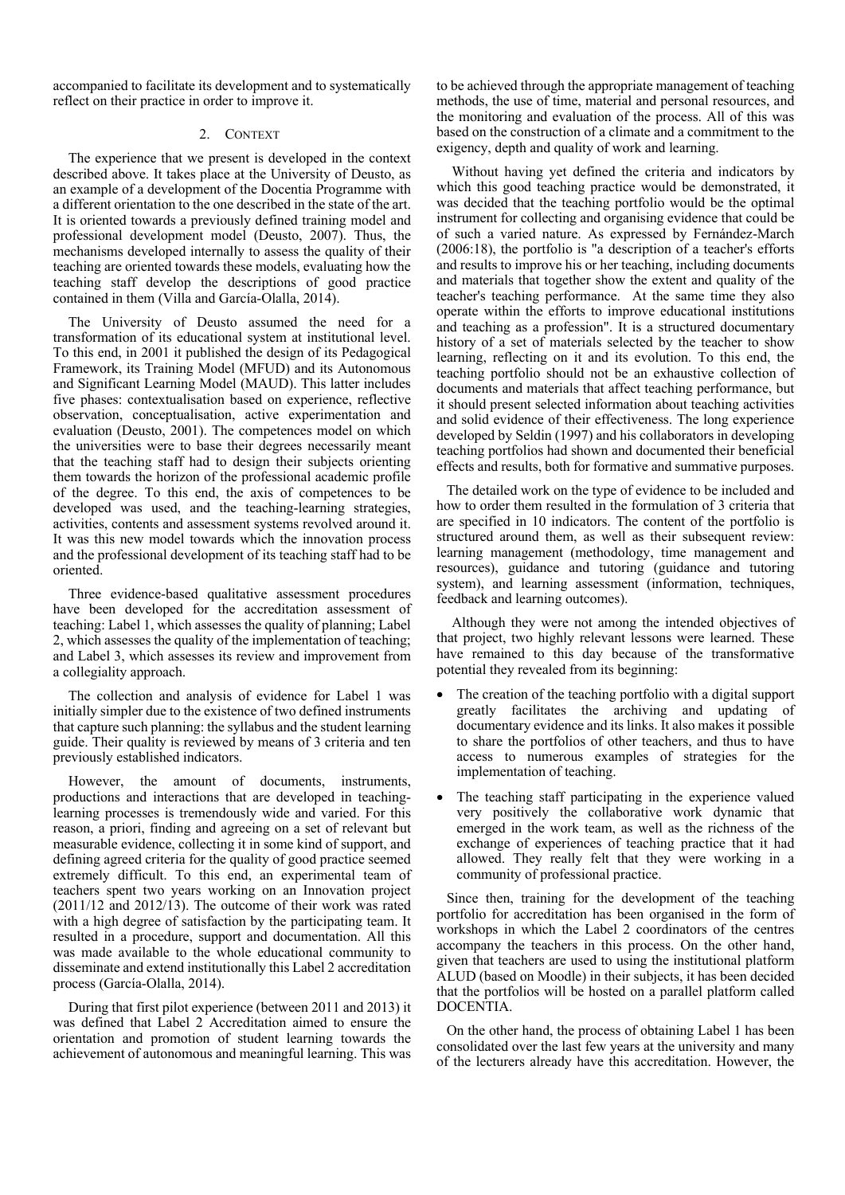accompanied to facilitate its development and to systematically reflect on their practice in order to improve it.

# 2. CONTEXT

The experience that we present is developed in the context described above. It takes place at the University of Deusto, as an example of a development of the Docentia Programme with a different orientation to the one described in the state of the art. It is oriented towards a previously defined training model and professional development model (Deusto, 2007). Thus, the mechanisms developed internally to assess the quality of their teaching are oriented towards these models, evaluating how the teaching staff develop the descriptions of good practice contained in them (Villa and García-Olalla, 2014).

The University of Deusto assumed the need for a transformation of its educational system at institutional level. To this end, in 2001 it published the design of its Pedagogical Framework, its Training Model (MFUD) and its Autonomous and Significant Learning Model (MAUD). This latter includes five phases: contextualisation based on experience, reflective observation, conceptualisation, active experimentation and evaluation (Deusto, 2001). The competences model on which the universities were to base their degrees necessarily meant that the teaching staff had to design their subjects orienting them towards the horizon of the professional academic profile of the degree. To this end, the axis of competences to be developed was used, and the teaching-learning strategies, activities, contents and assessment systems revolved around it. It was this new model towards which the innovation process and the professional development of its teaching staff had to be oriented.

Three evidence-based qualitative assessment procedures have been developed for the accreditation assessment of teaching: Label 1, which assesses the quality of planning; Label 2, which assesses the quality of the implementation of teaching; and Label 3, which assesses its review and improvement from a collegiality approach.

The collection and analysis of evidence for Label 1 was initially simpler due to the existence of two defined instruments that capture such planning: the syllabus and the student learning guide. Their quality is reviewed by means of 3 criteria and ten previously established indicators.

However, the amount of documents, instruments, productions and interactions that are developed in teachinglearning processes is tremendously wide and varied. For this reason, a priori, finding and agreeing on a set of relevant but measurable evidence, collecting it in some kind of support, and defining agreed criteria for the quality of good practice seemed extremely difficult. To this end, an experimental team of teachers spent two years working on an Innovation project (2011/12 and 2012/13). The outcome of their work was rated with a high degree of satisfaction by the participating team. It resulted in a procedure, support and documentation. All this was made available to the whole educational community to disseminate and extend institutionally this Label 2 accreditation process (García-Olalla, 2014).

During that first pilot experience (between 2011 and 2013) it was defined that Label 2 Accreditation aimed to ensure the orientation and promotion of student learning towards the achievement of autonomous and meaningful learning. This was to be achieved through the appropriate management of teaching methods, the use of time, material and personal resources, and the monitoring and evaluation of the process. All of this was based on the construction of a climate and a commitment to the exigency, depth and quality of work and learning.

Without having yet defined the criteria and indicators by which this good teaching practice would be demonstrated, it was decided that the teaching portfolio would be the optimal instrument for collecting and organising evidence that could be of such a varied nature. As expressed by Fernández-March (2006:18), the portfolio is "a description of a teacher's efforts and results to improve his or her teaching, including documents and materials that together show the extent and quality of the teacher's teaching performance. At the same time they also operate within the efforts to improve educational institutions and teaching as a profession". It is a structured documentary history of a set of materials selected by the teacher to show learning, reflecting on it and its evolution. To this end, the teaching portfolio should not be an exhaustive collection of documents and materials that affect teaching performance, but it should present selected information about teaching activities and solid evidence of their effectiveness. The long experience developed by Seldin (1997) and his collaborators in developing teaching portfolios had shown and documented their beneficial effects and results, both for formative and summative purposes.

The detailed work on the type of evidence to be included and how to order them resulted in the formulation of 3 criteria that are specified in 10 indicators. The content of the portfolio is structured around them, as well as their subsequent review: learning management (methodology, time management and resources), guidance and tutoring (guidance and tutoring system), and learning assessment (information, techniques, feedback and learning outcomes).

Although they were not among the intended objectives of that project, two highly relevant lessons were learned. These have remained to this day because of the transformative potential they revealed from its beginning:

- The creation of the teaching portfolio with a digital support greatly facilitates the archiving and updating of documentary evidence and its links. It also makes it possible to share the portfolios of other teachers, and thus to have access to numerous examples of strategies for the implementation of teaching.
- The teaching staff participating in the experience valued very positively the collaborative work dynamic that emerged in the work team, as well as the richness of the exchange of experiences of teaching practice that it had allowed. They really felt that they were working in a community of professional practice.

Since then, training for the development of the teaching portfolio for accreditation has been organised in the form of workshops in which the Label 2 coordinators of the centres accompany the teachers in this process. On the other hand, given that teachers are used to using the institutional platform ALUD (based on Moodle) in their subjects, it has been decided that the portfolios will be hosted on a parallel platform called DOCENTIA.

On the other hand, the process of obtaining Label 1 has been consolidated over the last few years at the university and many of the lecturers already have this accreditation. However, the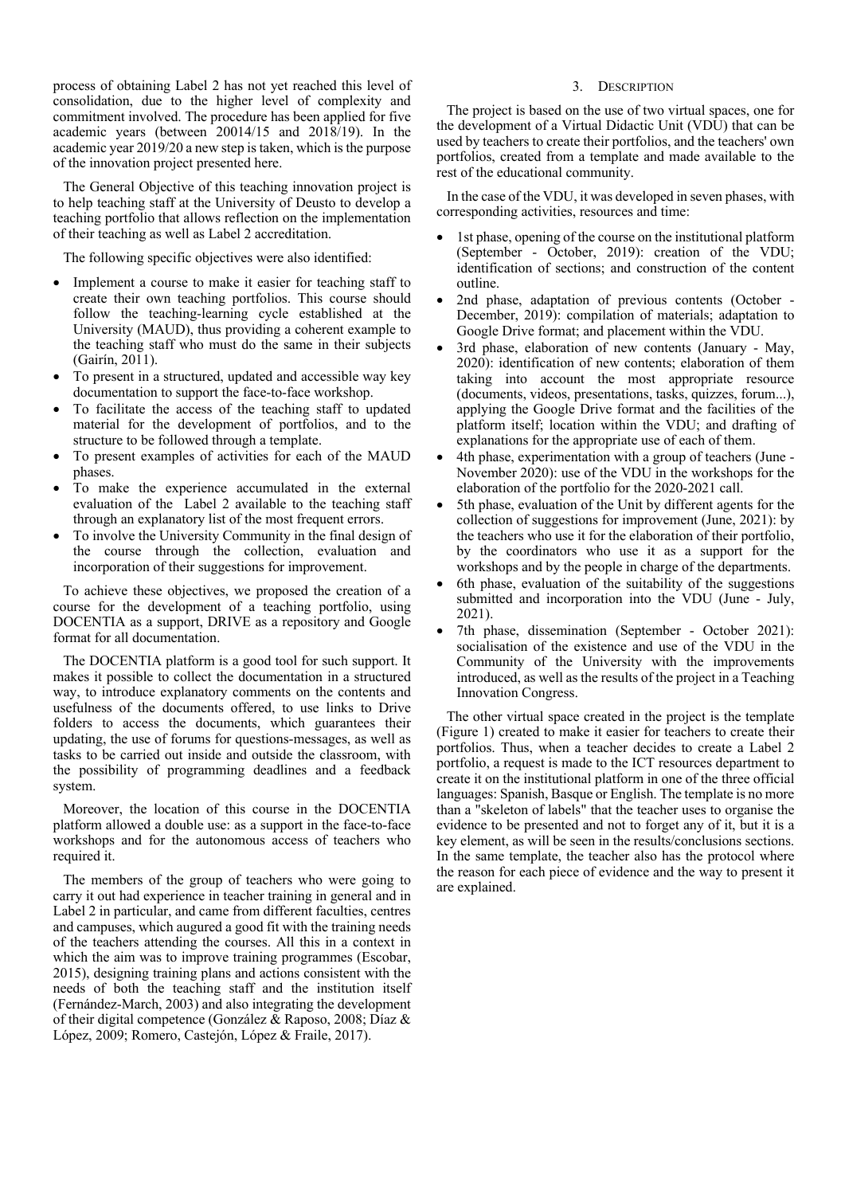process of obtaining Label 2 has not yet reached this level of consolidation, due to the higher level of complexity and commitment involved. The procedure has been applied for five academic years (between 20014/15 and 2018/19). In the academic year 2019/20 a new step is taken, which is the purpose of the innovation project presented here.

The General Objective of this teaching innovation project is to help teaching staff at the University of Deusto to develop a teaching portfolio that allows reflection on the implementation of their teaching as well as Label 2 accreditation.

The following specific objectives were also identified:

- Implement a course to make it easier for teaching staff to create their own teaching portfolios. This course should follow the teaching-learning cycle established at the University (MAUD), thus providing a coherent example to the teaching staff who must do the same in their subjects (Gairín, 2011).
- To present in a structured, updated and accessible way key documentation to support the face-to-face workshop.
- To facilitate the access of the teaching staff to updated material for the development of portfolios, and to the structure to be followed through a template.
- To present examples of activities for each of the MAUD phases.
- To make the experience accumulated in the external evaluation of the Label 2 available to the teaching staff through an explanatory list of the most frequent errors.
- To involve the University Community in the final design of the course through the collection, evaluation and incorporation of their suggestions for improvement.

To achieve these objectives, we proposed the creation of a course for the development of a teaching portfolio, using DOCENTIA as a support, DRIVE as a repository and Google format for all documentation.

The DOCENTIA platform is a good tool for such support. It makes it possible to collect the documentation in a structured way, to introduce explanatory comments on the contents and usefulness of the documents offered, to use links to Drive folders to access the documents, which guarantees their updating, the use of forums for questions-messages, as well as tasks to be carried out inside and outside the classroom, with the possibility of programming deadlines and a feedback system.

Moreover, the location of this course in the DOCENTIA platform allowed a double use: as a support in the face-to-face workshops and for the autonomous access of teachers who required it.

The members of the group of teachers who were going to carry it out had experience in teacher training in general and in Label 2 in particular, and came from different faculties, centres and campuses, which augured a good fit with the training needs of the teachers attending the courses. All this in a context in which the aim was to improve training programmes (Escobar, 2015), designing training plans and actions consistent with the needs of both the teaching staff and the institution itself (Fernández-March, 2003) and also integrating the development of their digital competence (González & Raposo, 2008; Díaz & López, 2009; Romero, Castejón, López & Fraile, 2017).

## 3. DESCRIPTION

The project is based on the use of two virtual spaces, one for the development of a Virtual Didactic Unit (VDU) that can be used by teachers to create their portfolios, and the teachers' own portfolios, created from a template and made available to the rest of the educational community.

In the case of the VDU, it was developed in seven phases, with corresponding activities, resources and time:

- 1st phase, opening of the course on the institutional platform (September - October, 2019): creation of the VDU; identification of sections; and construction of the content outline.
- 2nd phase, adaptation of previous contents (October December, 2019): compilation of materials; adaptation to Google Drive format; and placement within the VDU.
- 3rd phase, elaboration of new contents (January May, 2020): identification of new contents; elaboration of them taking into account the most appropriate resource (documents, videos, presentations, tasks, quizzes, forum...), applying the Google Drive format and the facilities of the platform itself; location within the VDU; and drafting of explanations for the appropriate use of each of them.
- 4th phase, experimentation with a group of teachers (June November 2020): use of the VDU in the workshops for the elaboration of the portfolio for the 2020-2021 call.
- 5th phase, evaluation of the Unit by different agents for the collection of suggestions for improvement (June, 2021): by the teachers who use it for the elaboration of their portfolio, by the coordinators who use it as a support for the workshops and by the people in charge of the departments.
- 6th phase, evaluation of the suitability of the suggestions submitted and incorporation into the VDU (June - July, 2021).
- 7th phase, dissemination (September October 2021): socialisation of the existence and use of the VDU in the Community of the University with the improvements introduced, as well as the results of the project in a Teaching Innovation Congress.

The other virtual space created in the project is the template (Figure 1) created to make it easier for teachers to create their portfolios. Thus, when a teacher decides to create a Label 2 portfolio, a request is made to the ICT resources department to create it on the institutional platform in one of the three official languages: Spanish, Basque or English. The template is no more than a "skeleton of labels" that the teacher uses to organise the evidence to be presented and not to forget any of it, but it is a key element, as will be seen in the results/conclusions sections. In the same template, the teacher also has the protocol where the reason for each piece of evidence and the way to present it are explained.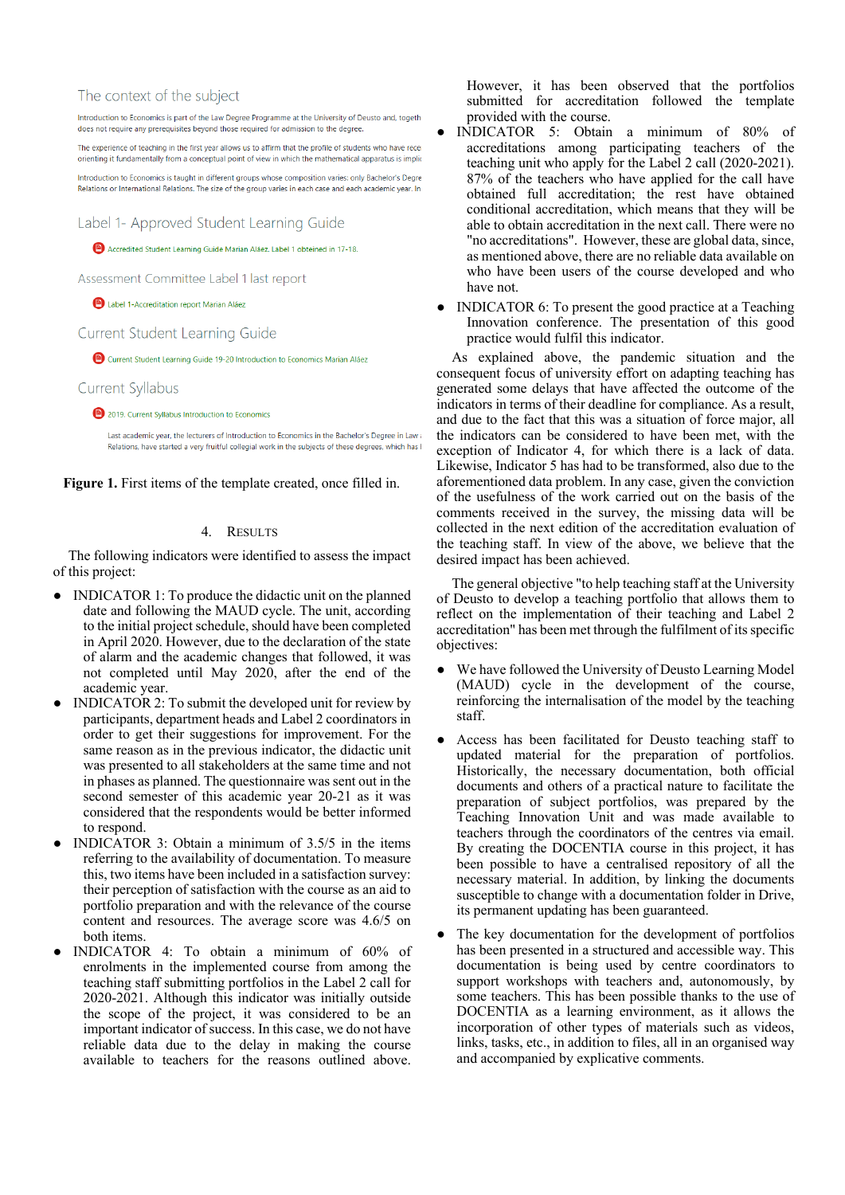## The context of the subject

Introduction to Economics is part of the Law Degree Programme at the University of Deusto and, togeth does not require any prerequisites beyond those required for admission to the degree.

The experience of teaching in the first year allows us to affirm that the profile of students who have rece orienting it fundamentally from a conceptual point of view in which the mathematical apparatus is implicioniting it fundamentally from a conceptual point of view in which the mathematical apparatus is implici

Introduction to Economics is taught in different groups whose composition varies: only Bachelor's Degre Relations or International Relations. The size of the group varies in each case and each academic year. In

Label 1- Approved Student Learning Guide

Accredited Student Learning Guide Marian Aláez, Label 1 obteined in 17-18.

Assessment Committee Label 1 last report

Label 1-Accreditation report Marian Aláez

Current Student Learning Guide

Current Student Learning Guide 19-20 Introduction to Economics Marian Aláez

Current Syllabus

2019. Current Syllabus Introduction to Economics

Last academic year, the lecturers of Introduction to Economics in the Bachelor's Degree in Lawa Relations, have started a very fruitful collegial work in the subjects of these degrees, which has

**Figure 1.** First items of the template created, once filled in.

# 4. RESULTS

The following indicators were identified to assess the impact of this project:

- INDICATOR 1: To produce the didactic unit on the planned date and following the MAUD cycle. The unit, according to the initial project schedule, should have been completed in April 2020. However, due to the declaration of the state of alarm and the academic changes that followed, it was not completed until May 2020, after the end of the academic year.
- INDICATOR 2: To submit the developed unit for review by participants, department heads and Label 2 coordinators in order to get their suggestions for improvement. For the same reason as in the previous indicator, the didactic unit was presented to all stakeholders at the same time and not in phases as planned. The questionnaire was sent out in the second semester of this academic year 20-21 as it was considered that the respondents would be better informed to respond.
- INDICATOR 3: Obtain a minimum of 3.5/5 in the items referring to the availability of documentation. To measure this, two items have been included in a satisfaction survey: their perception of satisfaction with the course as an aid to portfolio preparation and with the relevance of the course content and resources. The average score was 4.6/5 on both items.
- INDICATOR 4: To obtain a minimum of 60% of enrolments in the implemented course from among the teaching staff submitting portfolios in the Label 2 call for 2020-2021. Although this indicator was initially outside the scope of the project, it was considered to be an important indicator of success. In this case, we do not have reliable data due to the delay in making the course available to teachers for the reasons outlined above.

However, it has been observed that the portfolios submitted for accreditation followed the template provided with the course.

- INDICATOR 5: Obtain a minimum of 80% of accreditations among participating teachers of the teaching unit who apply for the Label 2 call (2020-2021). 87% of the teachers who have applied for the call have obtained full accreditation; the rest have obtained conditional accreditation, which means that they will be able to obtain accreditation in the next call. There were no "no accreditations". However, these are global data, since, as mentioned above, there are no reliable data available on who have been users of the course developed and who have not.
- INDICATOR 6: To present the good practice at a Teaching Innovation conference. The presentation of this good practice would fulfil this indicator.

As explained above, the pandemic situation and the consequent focus of university effort on adapting teaching has generated some delays that have affected the outcome of the indicators in terms of their deadline for compliance. As a result, and due to the fact that this was a situation of force major, all the indicators can be considered to have been met, with the exception of Indicator 4, for which there is a lack of data. Likewise, Indicator 5 has had to be transformed, also due to the aforementioned data problem. In any case, given the conviction of the usefulness of the work carried out on the basis of the comments received in the survey, the missing data will be collected in the next edition of the accreditation evaluation of the teaching staff. In view of the above, we believe that the desired impact has been achieved.

The general objective "to help teaching staff at the University of Deusto to develop a teaching portfolio that allows them to reflect on the implementation of their teaching and Label 2 accreditation" has been met through the fulfilment of its specific objectives:

- We have followed the University of Deusto Learning Model (MAUD) cycle in the development of the course, reinforcing the internalisation of the model by the teaching staff.
- Access has been facilitated for Deusto teaching staff to updated material for the preparation of portfolios. Historically, the necessary documentation, both official documents and others of a practical nature to facilitate the preparation of subject portfolios, was prepared by the Teaching Innovation Unit and was made available to teachers through the coordinators of the centres via email. By creating the DOCENTIA course in this project, it has been possible to have a centralised repository of all the necessary material. In addition, by linking the documents susceptible to change with a documentation folder in Drive, its permanent updating has been guaranteed.
- The key documentation for the development of portfolios has been presented in a structured and accessible way. This documentation is being used by centre coordinators to support workshops with teachers and, autonomously, by some teachers. This has been possible thanks to the use of DOCENTIA as a learning environment, as it allows the incorporation of other types of materials such as videos, links, tasks, etc., in addition to files, all in an organised way and accompanied by explicative comments.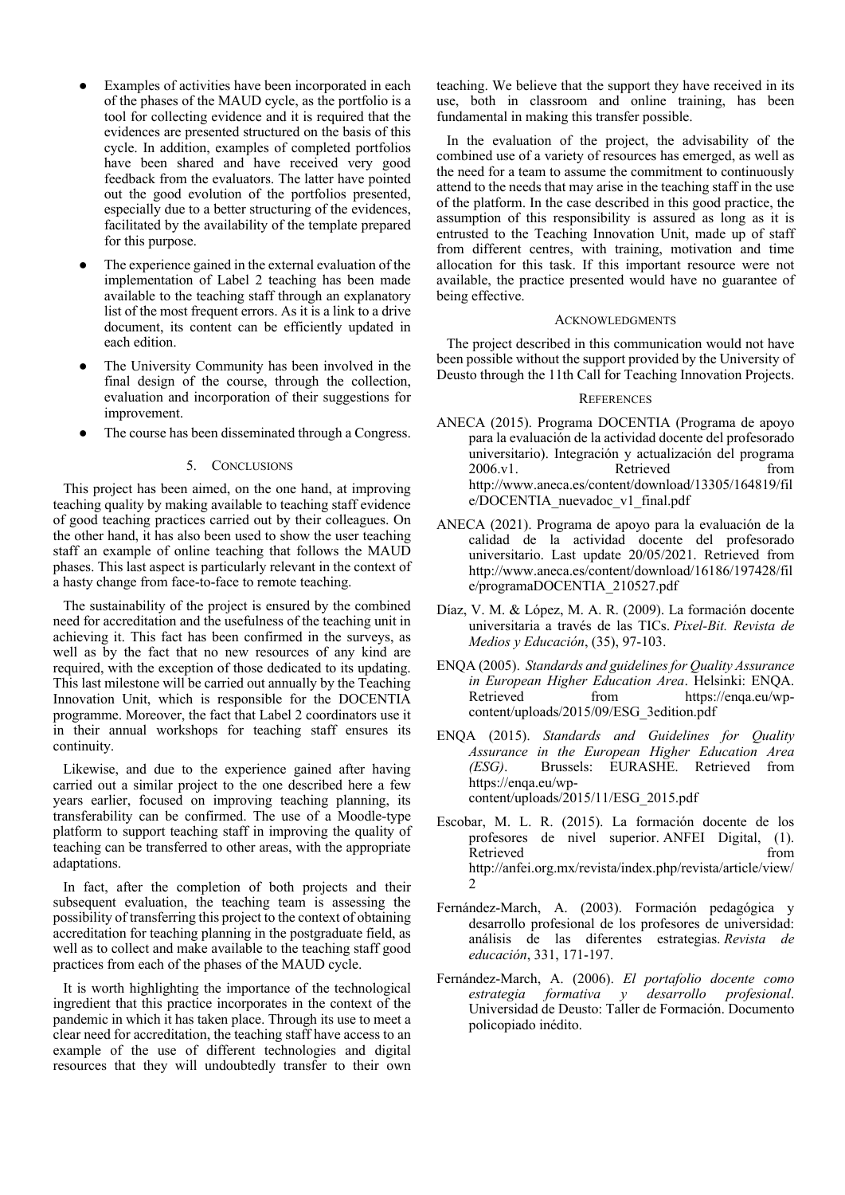- Examples of activities have been incorporated in each of the phases of the MAUD cycle, as the portfolio is a tool for collecting evidence and it is required that the evidences are presented structured on the basis of this cycle. In addition, examples of completed portfolios have been shared and have received very good feedback from the evaluators. The latter have pointed out the good evolution of the portfolios presented, especially due to a better structuring of the evidences, facilitated by the availability of the template prepared for this purpose.
- The experience gained in the external evaluation of the implementation of Label 2 teaching has been made available to the teaching staff through an explanatory list of the most frequent errors. As it is a link to a drive document, its content can be efficiently updated in each edition.
- The University Community has been involved in the final design of the course, through the collection, evaluation and incorporation of their suggestions for improvement.
- The course has been disseminated through a Congress.

#### 5. CONCLUSIONS

This project has been aimed, on the one hand, at improving teaching quality by making available to teaching staff evidence of good teaching practices carried out by their colleagues. On the other hand, it has also been used to show the user teaching staff an example of online teaching that follows the MAUD phases. This last aspect is particularly relevant in the context of a hasty change from face-to-face to remote teaching.

The sustainability of the project is ensured by the combined need for accreditation and the usefulness of the teaching unit in achieving it. This fact has been confirmed in the surveys, as well as by the fact that no new resources of any kind are required, with the exception of those dedicated to its updating. This last milestone will be carried out annually by the Teaching Innovation Unit, which is responsible for the DOCENTIA programme. Moreover, the fact that Label 2 coordinators use it in their annual workshops for teaching staff ensures its continuity.

Likewise, and due to the experience gained after having carried out a similar project to the one described here a few years earlier, focused on improving teaching planning, its transferability can be confirmed. The use of a Moodle-type platform to support teaching staff in improving the quality of teaching can be transferred to other areas, with the appropriate adaptations.

In fact, after the completion of both projects and their subsequent evaluation, the teaching team is assessing the possibility of transferring this project to the context of obtaining accreditation for teaching planning in the postgraduate field, as well as to collect and make available to the teaching staff good practices from each of the phases of the MAUD cycle.

It is worth highlighting the importance of the technological ingredient that this practice incorporates in the context of the pandemic in which it has taken place. Through its use to meet a clear need for accreditation, the teaching staff have access to an example of the use of different technologies and digital resources that they will undoubtedly transfer to their own teaching. We believe that the support they have received in its use, both in classroom and online training, has been fundamental in making this transfer possible.

In the evaluation of the project, the advisability of the combined use of a variety of resources has emerged, as well as the need for a team to assume the commitment to continuously attend to the needs that may arise in the teaching staff in the use of the platform. In the case described in this good practice, the assumption of this responsibility is assured as long as it is entrusted to the Teaching Innovation Unit, made up of staff from different centres, with training, motivation and time allocation for this task. If this important resource were not available, the practice presented would have no guarantee of being effective.

#### ACKNOWLEDGMENTS

The project described in this communication would not have been possible without the support provided by the University of Deusto through the 11th Call for Teaching Innovation Projects.

#### **REFERENCES**

- ANECA (2015). Programa DOCENTIA (Programa de apoyo para la evaluación de la actividad docente del profesorado universitario). Integración y actualización del programa 2006.v1. Retrieved from http://www.aneca.es/content/download/13305/164819/fil e/DOCENTIA\_nuevadoc\_v1\_final.pdf
- ANECA (2021). Programa de apoyo para la evaluación de la calidad de la actividad docente del profesorado universitario. Last update 20/05/2021. Retrieved from http://www.aneca.es/content/download/16186/197428/fil e/programaDOCENTIA\_210527.pdf
- Díaz, V. M. & López, M. A. R. (2009). La formación docente universitaria a través de las TICs. *Pixel-Bit. Revista de Medios y Educación*, (35), 97-103.
- ENQA (2005). *Standards and guidelines for Quality Assurance in European Higher Education Area*. Helsinki: ENQA. Retrieved from https://enqa.eu/wpcontent/uploads/2015/09/ESG\_3edition.pdf
- ENQA (2015). *Standards and Guidelines for Quality Assurance in the European Higher Education Area (ESG)*. Brussels: EURASHE. Retrieved from https://enqa.eu/wpcontent/uploads/2015/11/ESG\_2015.pdf
- Escobar, M. L. R. (2015). La formación docente de los profesores de nivel superior. ANFEI Digital, (1). Retrieved from the set of the set of the set of the set of the set of the set of the set of the set of the set of the set of the set of the set of the set of the set of the set of the set of the set of the set of the set o http://anfei.org.mx/revista/index.php/revista/article/view/ 2
- Fernández-March, A. (2003). Formación pedagógica y desarrollo profesional de los profesores de universidad: análisis de las diferentes estrategias. *Revista de educación*, 331, 171-197.
- Fernández-March, A. (2006). *El portafolio docente como estrategia formativa y desarrollo profesional*. Universidad de Deusto: Taller de Formación. Documento policopiado inédito.